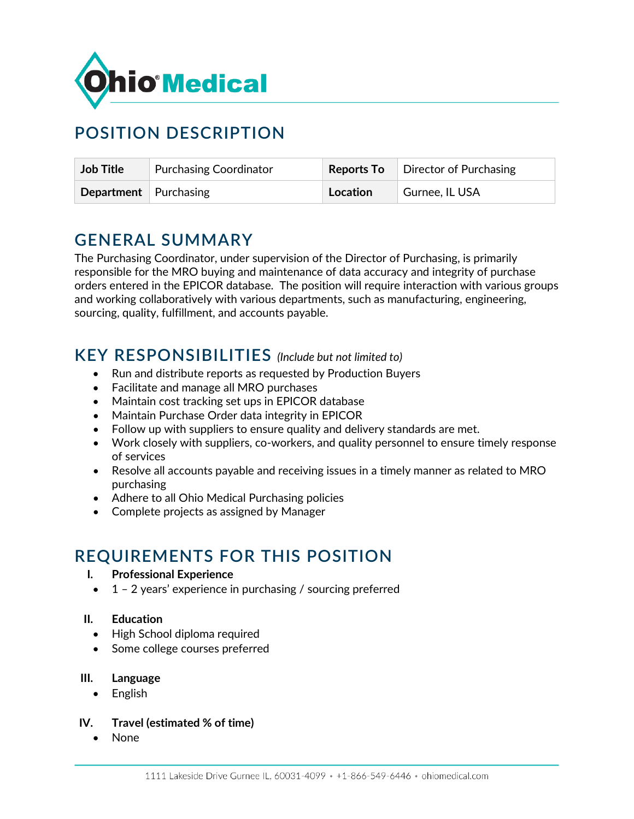

# **POSITION DESCRIPTION**

| <b>Job Title</b>      | <b>Purchasing Coordinator</b> |          | <b>Reports To</b>   Director of Purchasing |
|-----------------------|-------------------------------|----------|--------------------------------------------|
| Department Purchasing |                               | Location | Gurnee, IL USA                             |

### **GENERAL SUMMARY**

The Purchasing Coordinator, under supervision of the Director of Purchasing, is primarily responsible for the MRO buying and maintenance of data accuracy and integrity of purchase orders entered in the EPICOR database. The position will require interaction with various groups and working collaboratively with various departments, such as manufacturing, engineering, sourcing, quality, fulfillment, and accounts payable.

### **KEY RESPONSIBILITIES** *(Include but not limited to)*

- Run and distribute reports as requested by Production Buyers
- Facilitate and manage all MRO purchases
- Maintain cost tracking set ups in EPICOR database
- Maintain Purchase Order data integrity in EPICOR
- Follow up with suppliers to ensure quality and delivery standards are met.
- Work closely with suppliers, co-workers, and quality personnel to ensure timely response of services
- Resolve all accounts payable and receiving issues in a timely manner as related to MRO purchasing
- Adhere to all Ohio Medical Purchasing policies
- Complete projects as assigned by Manager

### **REQUIREMENTS FOR THIS POSITION**

- **I. Professional Experience**
- $\bullet$  1 2 years' experience in purchasing / sourcing preferred

#### **II. Education**

- High School diploma required
- Some college courses preferred

#### **III. Language**

- English
- **IV. Travel (estimated % of time)**
	- None